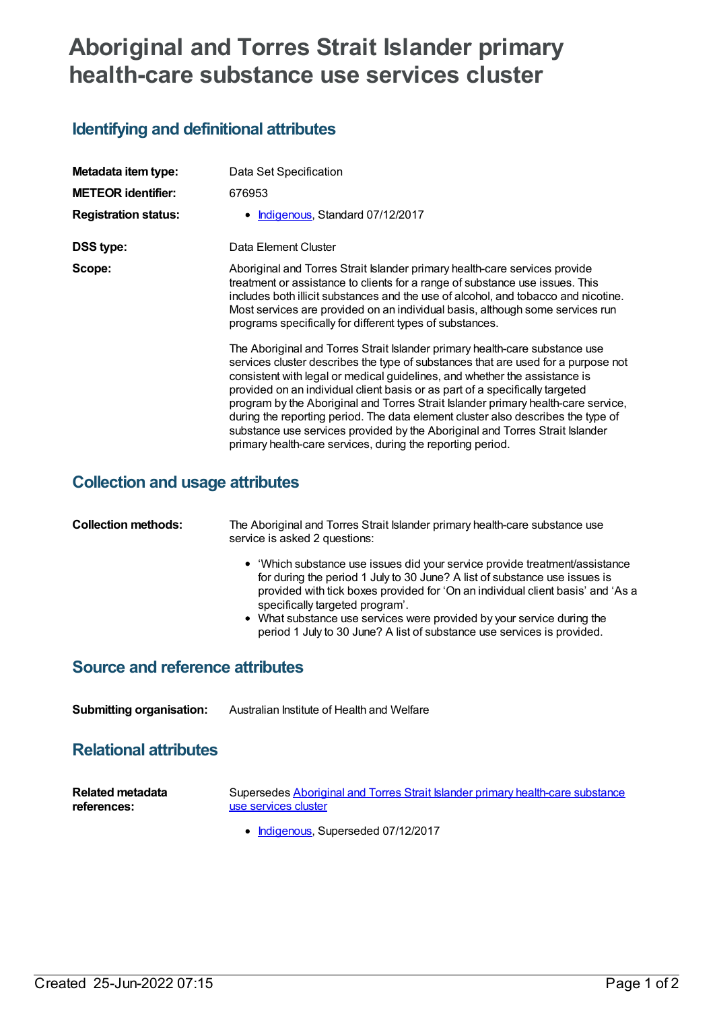# **Aboriginal and Torres Strait Islander primary health-care substance use services cluster**

### **Identifying and definitional attributes**

| Metadata item type:         | Data Set Specification                                                                                                                                                                                                                                                                                                                                                                                                                                                                                                                                                                                                                                |  |  |  |  |
|-----------------------------|-------------------------------------------------------------------------------------------------------------------------------------------------------------------------------------------------------------------------------------------------------------------------------------------------------------------------------------------------------------------------------------------------------------------------------------------------------------------------------------------------------------------------------------------------------------------------------------------------------------------------------------------------------|--|--|--|--|
| <b>METEOR identifier:</b>   | 676953                                                                                                                                                                                                                                                                                                                                                                                                                                                                                                                                                                                                                                                |  |  |  |  |
| <b>Registration status:</b> | Indigenous, Standard 07/12/2017<br>$\bullet$                                                                                                                                                                                                                                                                                                                                                                                                                                                                                                                                                                                                          |  |  |  |  |
| DSS type:                   | Data Element Cluster                                                                                                                                                                                                                                                                                                                                                                                                                                                                                                                                                                                                                                  |  |  |  |  |
| Scope:                      | Aboriginal and Torres Strait Islander primary health-care services provide<br>treatment or assistance to clients for a range of substance use issues. This<br>includes both illicit substances and the use of alcohol, and tobacco and nicotine.<br>Most services are provided on an individual basis, although some services run<br>programs specifically for different types of substances.                                                                                                                                                                                                                                                         |  |  |  |  |
|                             | The Aboriginal and Torres Strait Islander primary health-care substance use<br>services cluster describes the type of substances that are used for a purpose not<br>consistent with legal or medical guidelines, and whether the assistance is<br>provided on an individual client basis or as part of a specifically targeted<br>program by the Aboriginal and Torres Strait Islander primary health-care service,<br>during the reporting period. The data element cluster also describes the type of<br>substance use services provided by the Aboriginal and Torres Strait Islander<br>primary health-care services, during the reporting period. |  |  |  |  |

#### **Collection and usage attributes**

| <b>Collection methods:</b> | The Aboriginal and Torres Strait Islander primary health-care substance use<br>service is asked 2 questions:                                                                                                                                                                                                                                                                                                                         |  |  |
|----------------------------|--------------------------------------------------------------------------------------------------------------------------------------------------------------------------------------------------------------------------------------------------------------------------------------------------------------------------------------------------------------------------------------------------------------------------------------|--|--|
|                            | • 'Which substance use issues did your service provide treatment/assistance<br>for during the period 1 July to 30 June? A list of substance use issues is<br>provided with tick boxes provided for 'On an individual client basis' and 'As a<br>specifically targeted program'.<br>• What substance use services were provided by your service during the<br>period 1 July to 30 June? A list of substance use services is provided. |  |  |

#### **Source and reference attributes**

**Submitting organisation:** Australian Institute of Health and Welfare

#### **Relational attributes**

| <b>Related metadata</b> | Supersedes Aboriginal and Torres Strait Islander primary health-care substance |  |  |
|-------------------------|--------------------------------------------------------------------------------|--|--|
| references:             | use services cluster                                                           |  |  |

• [Indigenous](https://meteor.aihw.gov.au/RegistrationAuthority/6), Superseded 07/12/2017